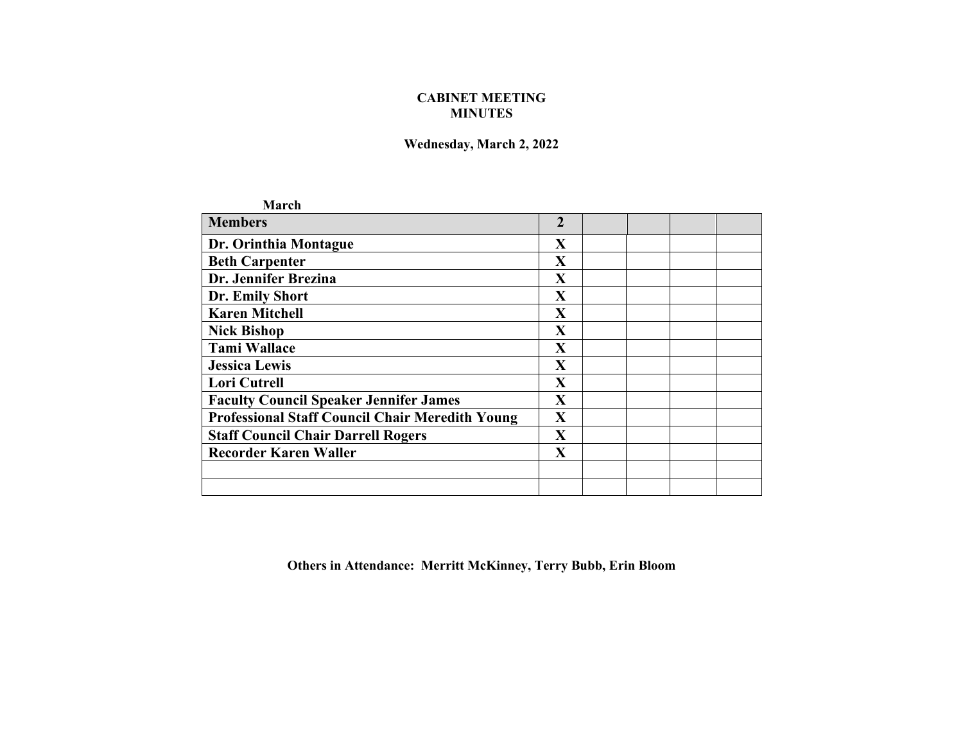## **CABINET MEETING MINUTES**

## **Wednesday, March 2, 2022**

| March                                                  |                |  |  |
|--------------------------------------------------------|----------------|--|--|
| <b>Members</b>                                         | $\overline{2}$ |  |  |
| Dr. Orinthia Montague                                  | X              |  |  |
| <b>Beth Carpenter</b>                                  | $\mathbf X$    |  |  |
| Dr. Jennifer Brezina                                   | X              |  |  |
| Dr. Emily Short                                        | $\mathbf X$    |  |  |
| <b>Karen Mitchell</b>                                  | $\mathbf X$    |  |  |
| <b>Nick Bishop</b>                                     | $\mathbf X$    |  |  |
| <b>Tami Wallace</b>                                    | $\mathbf X$    |  |  |
| <b>Jessica Lewis</b>                                   | X              |  |  |
| <b>Lori Cutrell</b>                                    | X              |  |  |
| <b>Faculty Council Speaker Jennifer James</b>          | $\mathbf{X}$   |  |  |
| <b>Professional Staff Council Chair Meredith Young</b> | X              |  |  |
| <b>Staff Council Chair Darrell Rogers</b>              | X              |  |  |
| <b>Recorder Karen Waller</b>                           | X              |  |  |
|                                                        |                |  |  |
|                                                        |                |  |  |

**Others in Attendance: Merritt McKinney, Terry Bubb, Erin Bloom**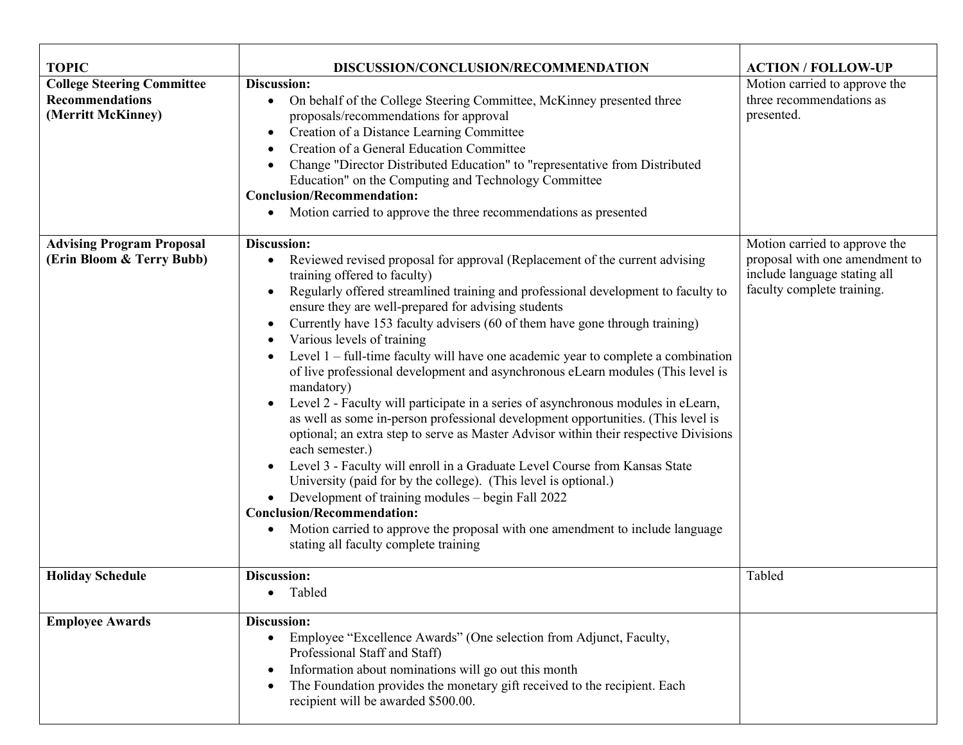| <b>TOPIC</b>                                                                      | DISCUSSION/CONCLUSION/RECOMMENDATION                                                                                                                                                                                                                                                                                                                                                                                                                                                                                                                                                                                                                                                                                                                                                                                                                                                                                                                                                                                                                                                                                                                                                                                                                                        | <b>ACTION / FOLLOW-UP</b>                                                                                                     |
|-----------------------------------------------------------------------------------|-----------------------------------------------------------------------------------------------------------------------------------------------------------------------------------------------------------------------------------------------------------------------------------------------------------------------------------------------------------------------------------------------------------------------------------------------------------------------------------------------------------------------------------------------------------------------------------------------------------------------------------------------------------------------------------------------------------------------------------------------------------------------------------------------------------------------------------------------------------------------------------------------------------------------------------------------------------------------------------------------------------------------------------------------------------------------------------------------------------------------------------------------------------------------------------------------------------------------------------------------------------------------------|-------------------------------------------------------------------------------------------------------------------------------|
| <b>College Steering Committee</b><br><b>Recommendations</b><br>(Merritt McKinney) | Discussion:<br>On behalf of the College Steering Committee, McKinney presented three<br>$\bullet$<br>proposals/recommendations for approval<br>Creation of a Distance Learning Committee<br>$\bullet$<br>Creation of a General Education Committee<br>Change "Director Distributed Education" to "representative from Distributed<br>Education" on the Computing and Technology Committee<br><b>Conclusion/Recommendation:</b><br>Motion carried to approve the three recommendations as presented<br>$\bullet$                                                                                                                                                                                                                                                                                                                                                                                                                                                                                                                                                                                                                                                                                                                                                             | Motion carried to approve the<br>three recommendations as<br>presented.                                                       |
| <b>Advising Program Proposal</b><br>(Erin Bloom & Terry Bubb)                     | Discussion:<br>Reviewed revised proposal for approval (Replacement of the current advising<br>$\bullet$<br>training offered to faculty)<br>Regularly offered streamlined training and professional development to faculty to<br>$\bullet$<br>ensure they are well-prepared for advising students<br>Currently have 153 faculty advisers (60 of them have gone through training)<br>Various levels of training<br>Level $1$ – full-time faculty will have one academic year to complete a combination<br>of live professional development and asynchronous eLearn modules (This level is<br>mandatory)<br>Level 2 - Faculty will participate in a series of asynchronous modules in eLearn,<br>as well as some in-person professional development opportunities. (This level is<br>optional; an extra step to serve as Master Advisor within their respective Divisions<br>each semester.)<br>Level 3 - Faculty will enroll in a Graduate Level Course from Kansas State<br>University (paid for by the college). (This level is optional.)<br>Development of training modules – begin Fall 2022<br><b>Conclusion/Recommendation:</b><br>Motion carried to approve the proposal with one amendment to include language<br>$\bullet$<br>stating all faculty complete training | Motion carried to approve the<br>proposal with one amendment to<br>include language stating all<br>faculty complete training. |
| <b>Holiday Schedule</b>                                                           | Discussion:<br>Tabled                                                                                                                                                                                                                                                                                                                                                                                                                                                                                                                                                                                                                                                                                                                                                                                                                                                                                                                                                                                                                                                                                                                                                                                                                                                       | Tabled                                                                                                                        |
| <b>Employee Awards</b>                                                            | Discussion:<br>Employee "Excellence Awards" (One selection from Adjunct, Faculty,<br>$\bullet$<br>Professional Staff and Staff)<br>Information about nominations will go out this month<br>$\bullet$<br>The Foundation provides the monetary gift received to the recipient. Each<br>$\bullet$<br>recipient will be awarded \$500.00.                                                                                                                                                                                                                                                                                                                                                                                                                                                                                                                                                                                                                                                                                                                                                                                                                                                                                                                                       |                                                                                                                               |